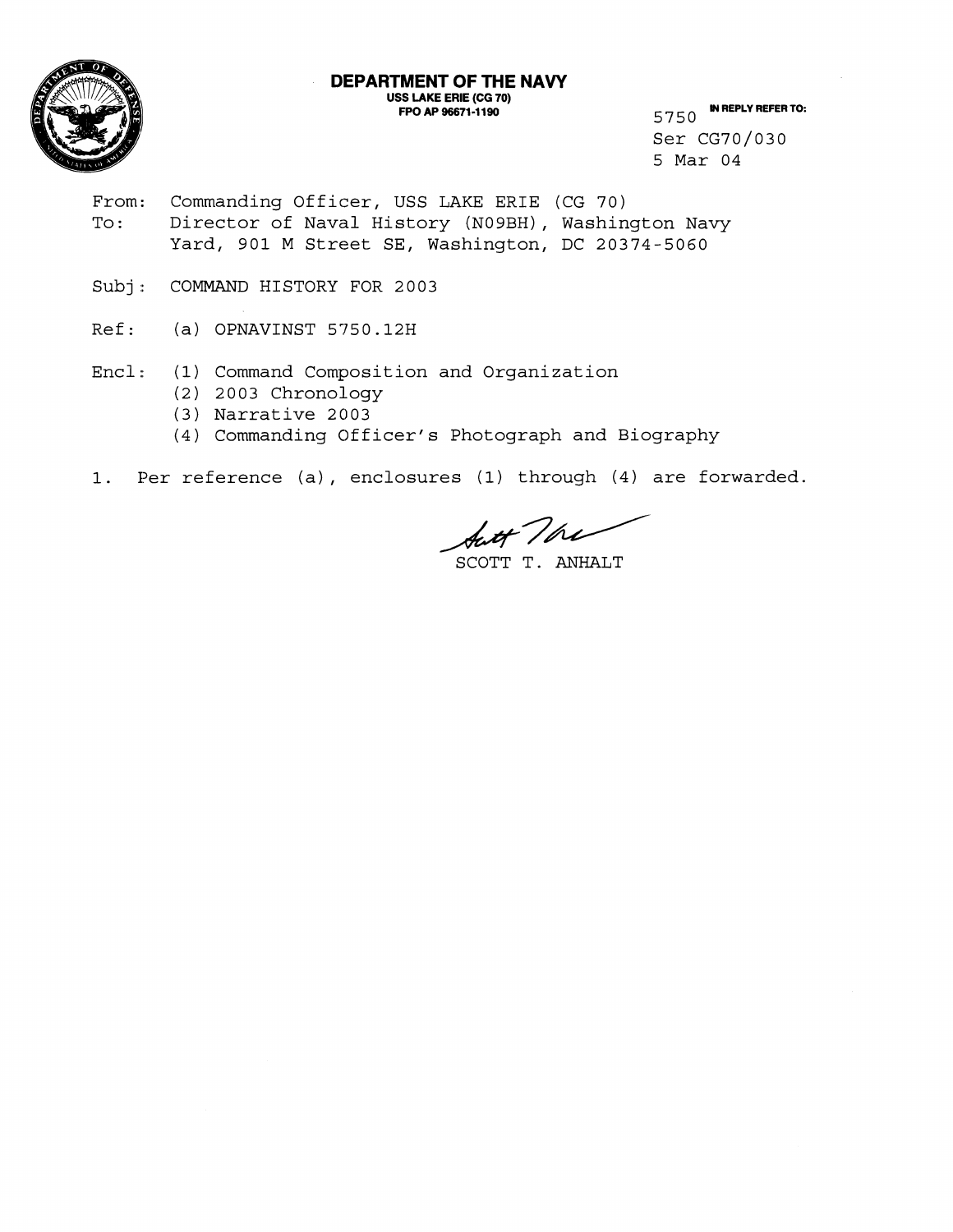

## **DEPARTMENT OF THE NAVY USS LAKE ERIE (CG 70) FPO AP 96671-1190 IM REPLY REFER TO:** 5750 **IN REPLY REFER TO:**

Ser CG70/030 5 Mar 04

- From: Commanding Officer, USS LAKE ERIE (CG 70) To: Director of Naval History (N09BH), Washington Navy Yard, 901 M Street SE, Washington, DC 20374-5060
- Subj: COMMAND HISTORY FOR 2003
- Ref: (a) OPNAVINST 5750.12H
- Encl: (1) Command Composition and Organization
	- (2) 2003 Chronology
	- (3) Narrative 2003
	- (4) Commanding Officer' s Photograph and Biography
- 1. Per reference (a), enclosures (1) through (4) are forwarded.

Aut The

SCOTT T. ANHALT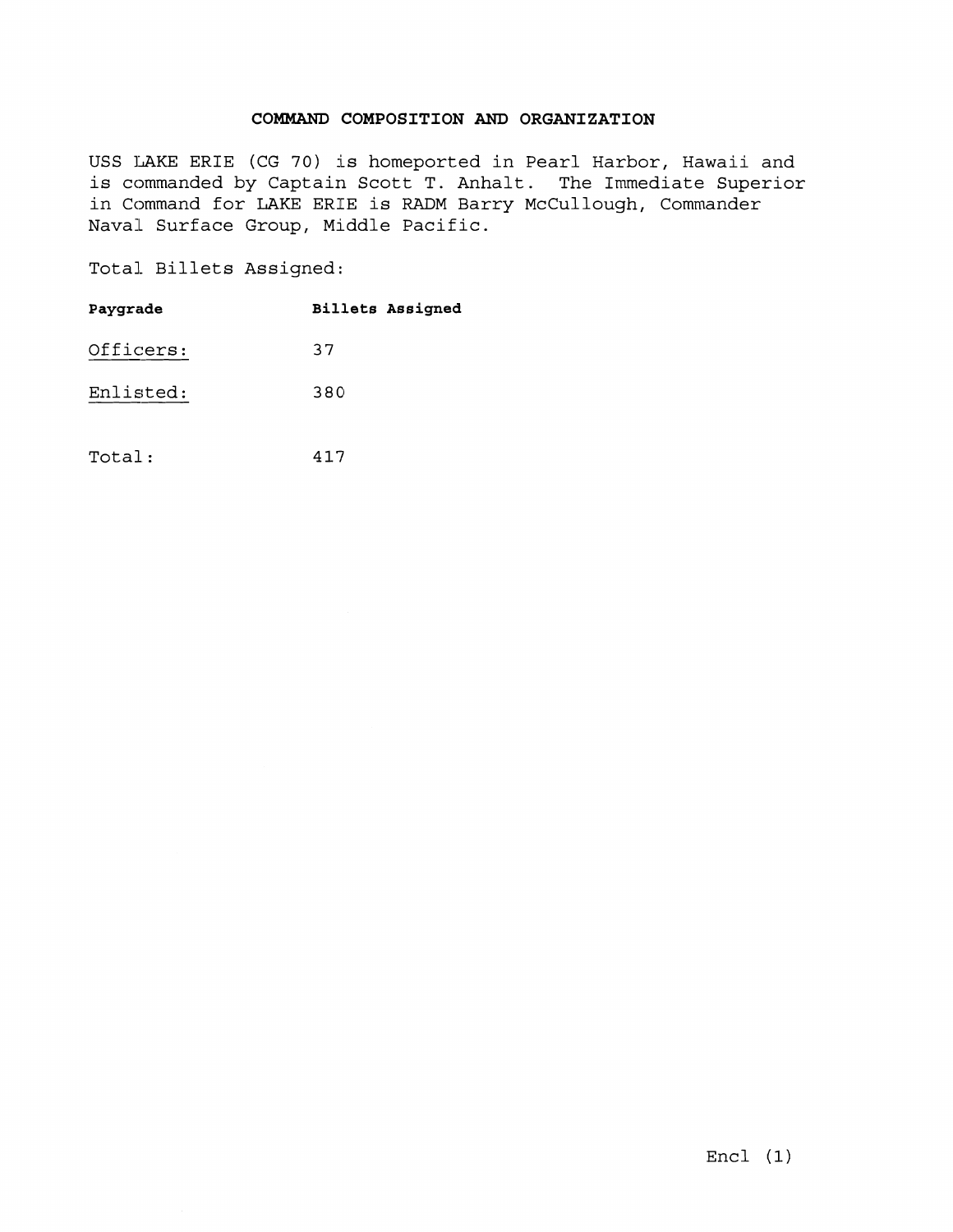## **COMMAND COMPOSITION** AND **ORGANIZATION**

USS TAKE ERIE (CG 70) is homeported in Pearl Harbor, Hawaii and is commanded by Captain Scott T. Anhalt. The Immediate Superior in Command for LAKE ERIE is RADM Barry McCullough, Commander Naval Surface Group, Middle Pacific.

Total Billets Assigned:

|           |  | Total Billets Assigned: |                         |
|-----------|--|-------------------------|-------------------------|
| Paygrade  |  |                         | <b>Billets Assigned</b> |
| Officers: |  | 37                      |                         |
| Enlisted: |  | 380                     |                         |
|           |  |                         |                         |
| Total:    |  | 417                     |                         |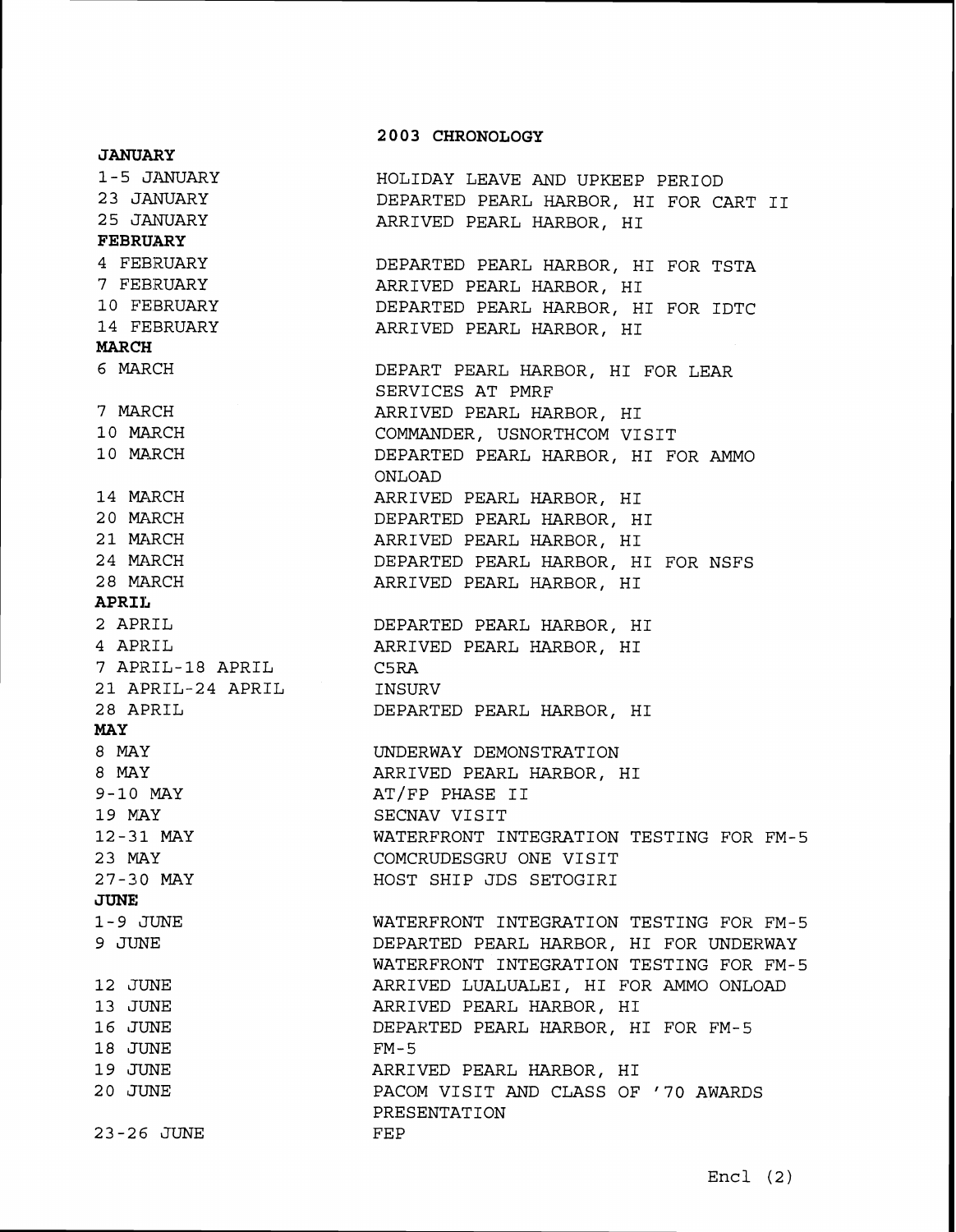## **2 0 0 3 CHRONOLOGY JANUARY**  1 - 5 JANUARY HOLIDAY LEAVE AND UPKEEP PERIOD 2 **3** JANUARY DEPARTED PEARL HARBOR, HI FOR CART I1 25 JANUARY ARRIVED PEARL HARBOR, HI **FEBRUARY**  4 FEBRUARY DEPARTED PEARL HARBOR, HI FOR TSTA 7 FEBRUARY ARRIVED PEARL HARBOR, HI 10 FEBRUARY DEPARTED PEARL HARBOR, HI FOR IDTC 14 FEBRUARY ARRIVED PEARL HARBOR, HI **MARCH**  6 MARCH DEPART PEARL HARBOR, HI FOR LEAR SERVICES AT PMRF 7 MARCH ARRIVED PEARL HARBOR, HI COMMANDER, USNORTHCOM VISIT 10 MARCH 10 MARCH DEPARTED PEARL HARBOR, HI FOR AMMO ONLOAD 14 MARCH ARRIVED PEARL HARBOR, HI 20 MARCH DEPARTED PEARL HARBOR, HI 21 MARCH ARRIVED PEARL HARBOR, HI 24 MARCH DEPARTED PEARL HARBOR, HI FOR NSFS 28 MARCH ARRIVED PEARL HARBOR, HI **APRIL**  2 APRIL DEPARTED PEARL HARBOR, HI 4 APRIL ARRIVED PEARL HARBOR, HI 7 APRIL-18 APRIL C5RA 21 APRIL-24 APRIL INSURV 28 APRIL DEPARTED PEARL HARBOR, HI MAY 8 MAY UNDERWAY DEMONSTRATION 8 MAY ARRIVED PEARL HARBOR, HI 9-10 MAY AT/FP PHASE 11 19 MAY SECNAV VISIT 12-31 MAY WATERFRONT INTEGRATION TESTING FOR FM-5 23 MAY COMCRUDESGRU ONE VISIT 27-210 MAY HOST SHIP JDS SETOGIRI **JUNE**  WATERFRONT INTEGRATION TESTING FOR FM-5 1-9 JUNE 9 JUNE DEPARTED PEARL HARBOR, HI FOR UNDERWAY WATERFRONT INTEGRATION TESTING FOR FM-5 ARRIVED LUALUALEI, HI FOR AMMO ONLOAD 12 JUNE 13 JUNE ARRIVED PEARL HARBOR, HI 16 JUNE DEPARTED PEARL HARBOR, HI FOR FM-5 18 JUNE FM-5 19 JUNE ARRIVED PEARL HARBOR, HI 20 JUNE PACOM VISIT AND CLASS OF '70 AWARDS PRESENTATION 23-26 JUNE FEP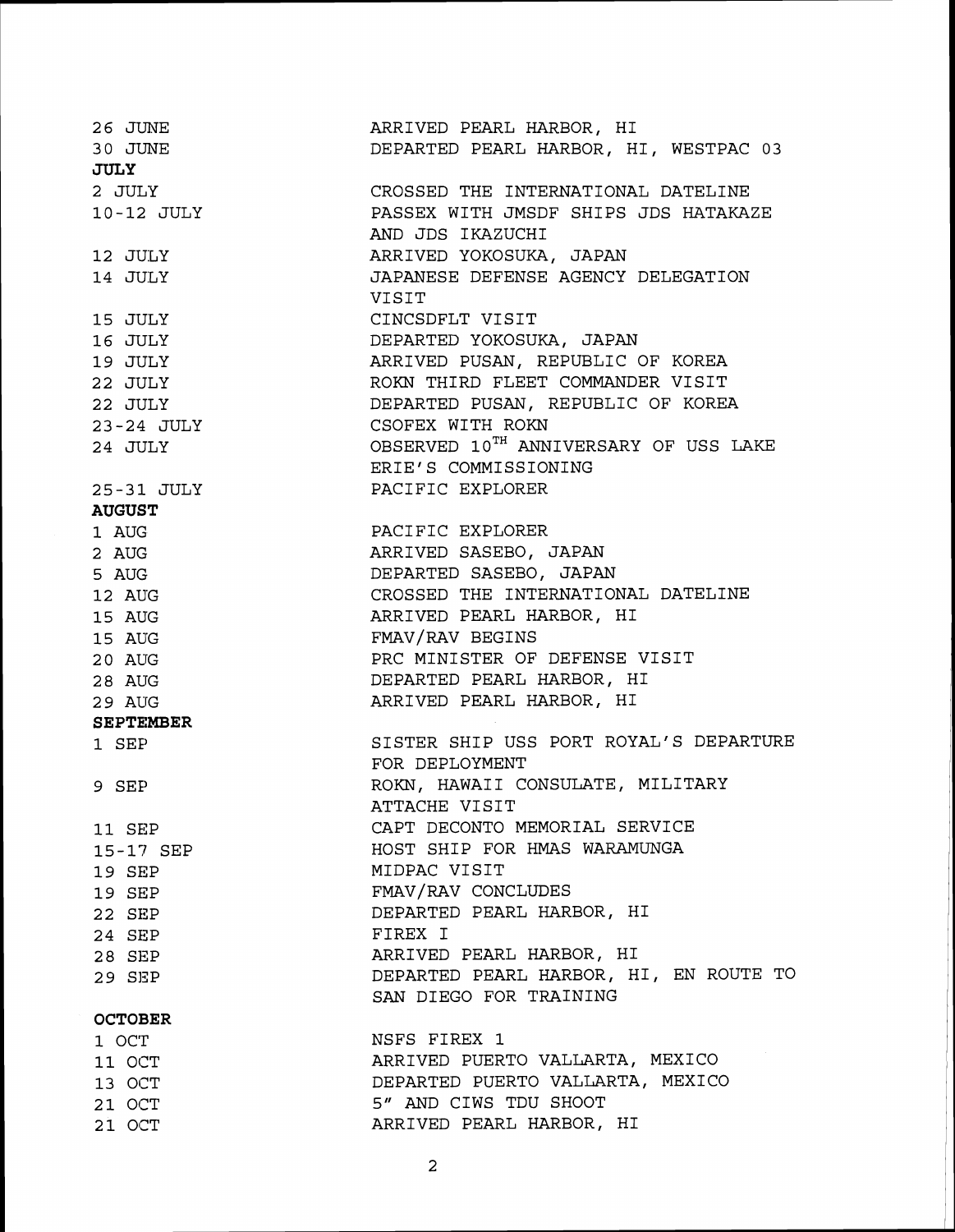| 26 JUNE                      | ARRIVED PEARL HARBOR, HI                          |
|------------------------------|---------------------------------------------------|
| 30 JUNE                      | DEPARTED PEARL HARBOR, HI, WESTPAC 03             |
| <b>JULY</b>                  |                                                   |
| 2 JULY                       | CROSSED THE INTERNATIONAL DATELINE                |
| 10-12 JULY                   | PASSEX WITH JMSDF SHIPS JDS HATAKAZE              |
|                              | AND JDS IKAZUCHI                                  |
| 12 JULY                      | ARRIVED YOKOSUKA, JAPAN                           |
| 14 JULY                      | JAPANESE DEFENSE AGENCY DELEGATION                |
|                              | VISIT                                             |
| 15 JULY                      | CINCSDFLT VISIT                                   |
| 16 JULY                      | DEPARTED YOKOSUKA, JAPAN                          |
| 19 JULY                      | ARRIVED PUSAN, REPUBLIC OF KOREA                  |
| 22 JULY                      | ROKN THIRD FLEET COMMANDER VISIT                  |
| 22 JULY                      | DEPARTED PUSAN, REPUBLIC OF KOREA                 |
|                              | CSOFEX WITH ROKN                                  |
| $23 - 24$ JULY<br>23-24 JULY | OBSERVED 10 <sup>TH</sup> ANNIVERSARY OF USS LAKE |
|                              | ERIE'S COMMISSIONING                              |
|                              |                                                   |
| 25-31 JULY                   | PACIFIC EXPLORER                                  |
| <b>AUGUST</b>                |                                                   |
| 1 AUG                        | PACIFIC EXPLORER                                  |
| 2 AUG                        | ARRIVED SASEBO, JAPAN                             |
| 5 AUG                        | DEPARTED SASEBO, JAPAN                            |
| 12 AUG                       | CROSSED THE INTERNATIONAL DATELINE                |
| 15 AUG                       | ARRIVED PEARL HARBOR, HI                          |
| 15 AUG                       | FMAV/RAV BEGINS                                   |
| 20 AUG                       | PRC MINISTER OF DEFENSE VISIT                     |
| 28 AUG                       | DEPARTED PEARL HARBOR, HI                         |
| 29 AUG                       | ARRIVED PEARL HARBOR, HI                          |
| <b>SEPTEMBER</b>             |                                                   |
| 1 SEP                        | SISTER SHIP USS PORT ROYAL'S DEPARTURE            |
|                              | FOR DEPLOYMENT                                    |
| 9 SEP                        | ROKN, HAWAII CONSULATE, MILITARY                  |
|                              | ATTACHE VISIT                                     |
| 11 SEP                       | CAPT DECONTO MEMORIAL SERVICE                     |
| 15-17 SEP                    | HOST SHIP FOR HMAS WARAMUNGA                      |
| 19 SEP                       | MIDPAC VISIT                                      |
| 19 SEP                       | FMAV/RAV CONCLUDES                                |
| 22 SEP                       | DEPARTED PEARL HARBOR, HI                         |
| 24 SEP                       | FIREX I                                           |
| 28 SEP                       | ARRIVED PEARL HARBOR, HI                          |
| 29 SEP                       | DEPARTED PEARL HARBOR, HI, EN ROUTE TO            |
|                              | SAN DIEGO FOR TRAINING                            |
| <b>OCTOBER</b>               |                                                   |
| 1 OCT                        | NSFS FIREX 1                                      |
| 11 OCT                       | ARRIVED PUERTO VALLARTA, MEXICO                   |
| 13 OCT                       | DEPARTED PUERTO VALLARTA, MEXICO                  |
| 21 OCT                       | 5" AND CIWS TDU SHOOT                             |
| 21 OCT                       | ARRIVED PEARL HARBOR, HI                          |
|                              |                                                   |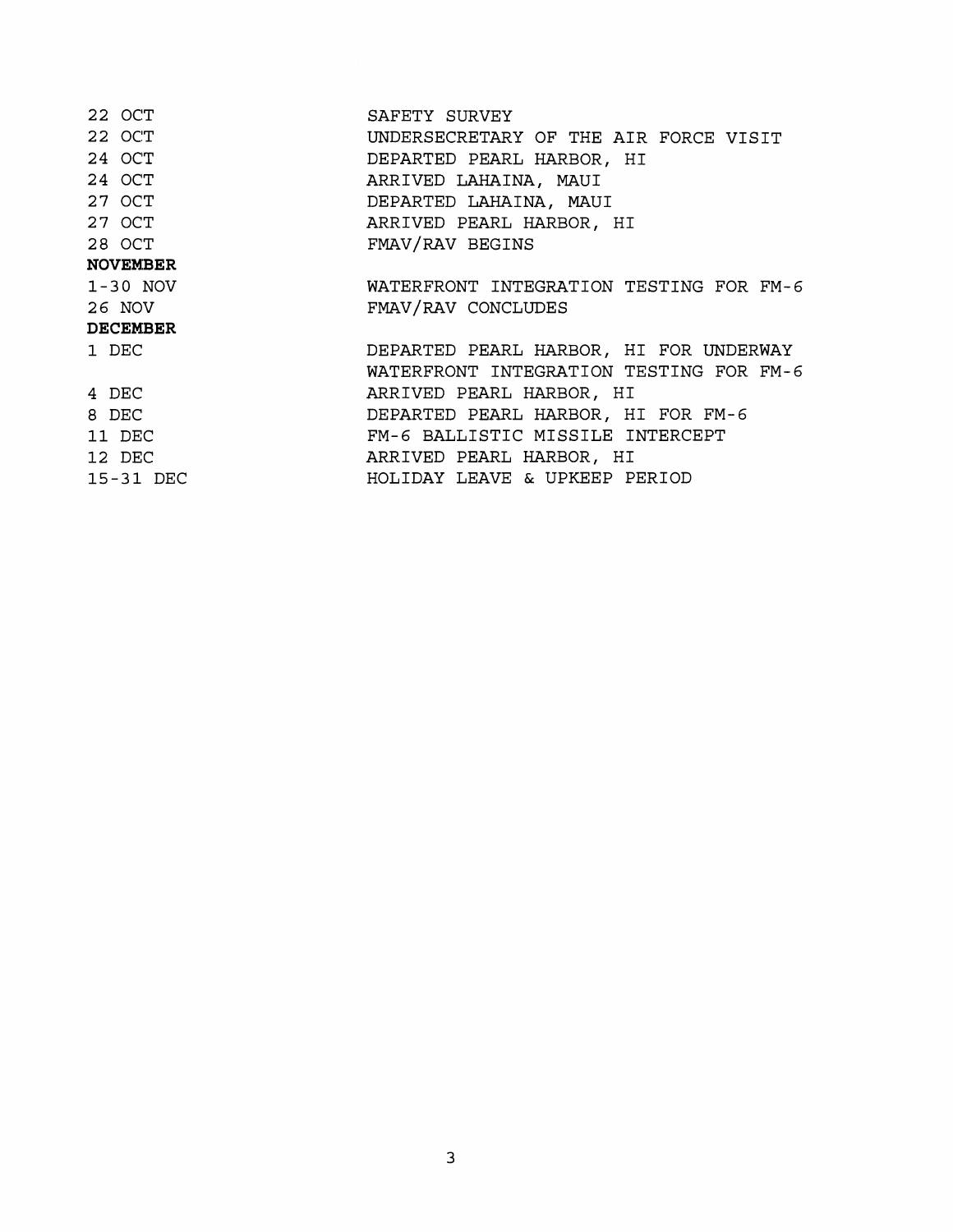| 22 OCT          | SAFETY SURVEY                           |
|-----------------|-----------------------------------------|
| 22 OCT          | UNDERSECRETARY OF THE AIR FORCE VISIT   |
| 24 OCT          | DEPARTED PEARL HARBOR, HI               |
| 24 OCT          | ARRIVED LAHAINA, MAUI                   |
| 27 OCT          | DEPARTED LAHAINA, MAUI                  |
| 27 OCT          | ARRIVED PEARL HARBOR, HI                |
| 28 OCT          | FMAV/RAV BEGINS                         |
| <b>NOVEMBER</b> |                                         |
| $1-30$ NOV      | WATERFRONT INTEGRATION TESTING FOR FM-6 |
| 26 NOV          | FMAV/RAV CONCLUDES                      |
| <b>DECEMBER</b> |                                         |
| 1 DEC           | DEPARTED PEARL HARBOR, HI FOR UNDERWAY  |
|                 | WATERFRONT INTEGRATION TESTING FOR FM-6 |
| 4 DEC           | ARRIVED PEARL HARBOR, HI                |
| 8 DEC           | DEPARTED PEARL HARBOR, HI FOR FM-6      |
| 11 DEC          | FM-6 BALLISTIC MISSILE INTERCEPT        |
| 12 DEC          | ARRIVED PEARL HARBOR, HI                |
| 15-31 DEC       | HOLIDAY LEAVE & UPKEEP PERIOD           |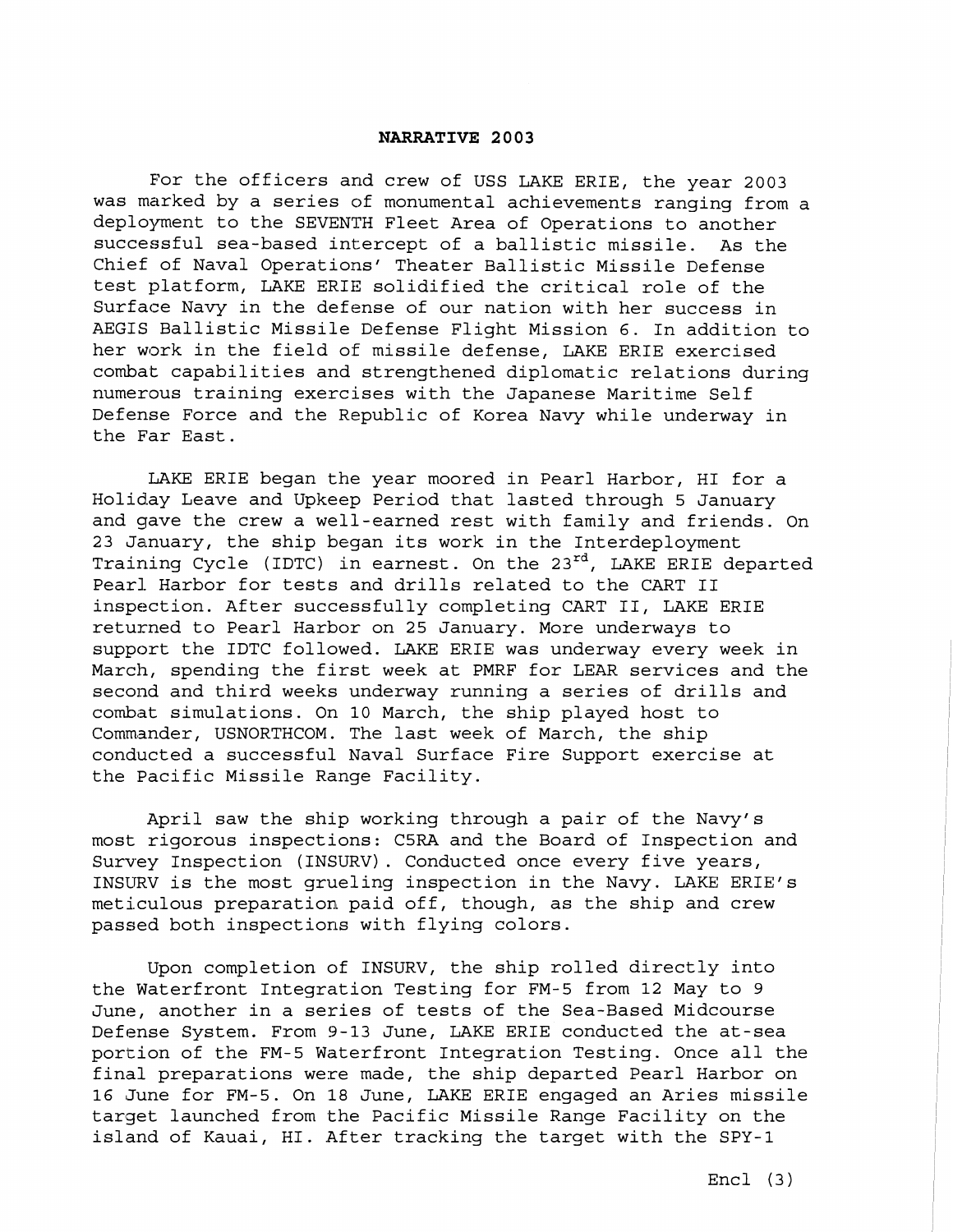## **NARRATIVE 2003**

For the officers and crew of USS LAKE ERIE, the year 2003 was marked by a series of monumental achievements ranging from a deployment to the SEVENTH Fleet Area of Operations to another successful sea-based intercept of a ballistic missile. As the Chief of Naval Operations' Theater Ballistic Missile Defense test platform, LAKE ERIE solidified the critical role of the Surface Navy in the defense of our nation with her success in AEGIS Ballistic Missile Defense Flight Mission 6. In addition to her work in the field of missile defense, LAKE ERIE exercised combat capabilities and strengthened diplomatic relations during numerous training exercises with the Japanese Maritime Self Defense Force and the Republic of Korea Navy while underway in the Far East.

LAKE ERIE began the year moored in Pearl Harbor, HI for a Holiday Leave and Upkeep Period that lasted through 5 January and gave the crew a well-earned rest with family and friends. On 23 January, the ship began its work in the Interdeployment Training Cycle (IDTC) in earnest. On the **23rd,** LAKE ERIE departed Pearl Harbor for tests and drills related to the CART II inspection. After successfully completing CART 11, LAKE ERIE returned to Pearl Harbor on 25 January. More underways to support the IDTC followed. LAKE ERIE was underway every week in March, spending the first week at PMRF for LEAR services and the second and third weeks underway running a series of drills and combat simulations. On 10 March, the ship played host to Commander, USNORTHCOM. The last week of March, the ship conducted a successful Naval Surface Fire Support exercise at the Pacific Missile Range Facility.

April saw the ship working through a pair of the Navy's most rigorous inspections: C5RA and the Board of Inspection and Survey Inspection (INSURV). Conducted once every five years, INSURV is the most grueling inspection in the Navy. LAKE ERIE'S meticulous preparation paid off, though, as the ship and crew passed both inspections with flying colors.

Upon completion of INSURV, the ship rolled directly into the Waterfront Integration Testing for FM-5 from **12** May to 9 June, another in a series of tests of the Sea-Based Midcourse Defense System. From **9-13** June, LAKE ERIE conducted the at-sea portion of the FM-5 Waterfront Integration Testing. Once all the final preparations were made, the ship departed Pearl Harbor on **16** June for FM-5. On **'18** June, LAKE ERIE engaged an Aries missile target launched from the Pacific Missile Range Facility on the island of Kauai, HI. After tracking the target with the SPY-1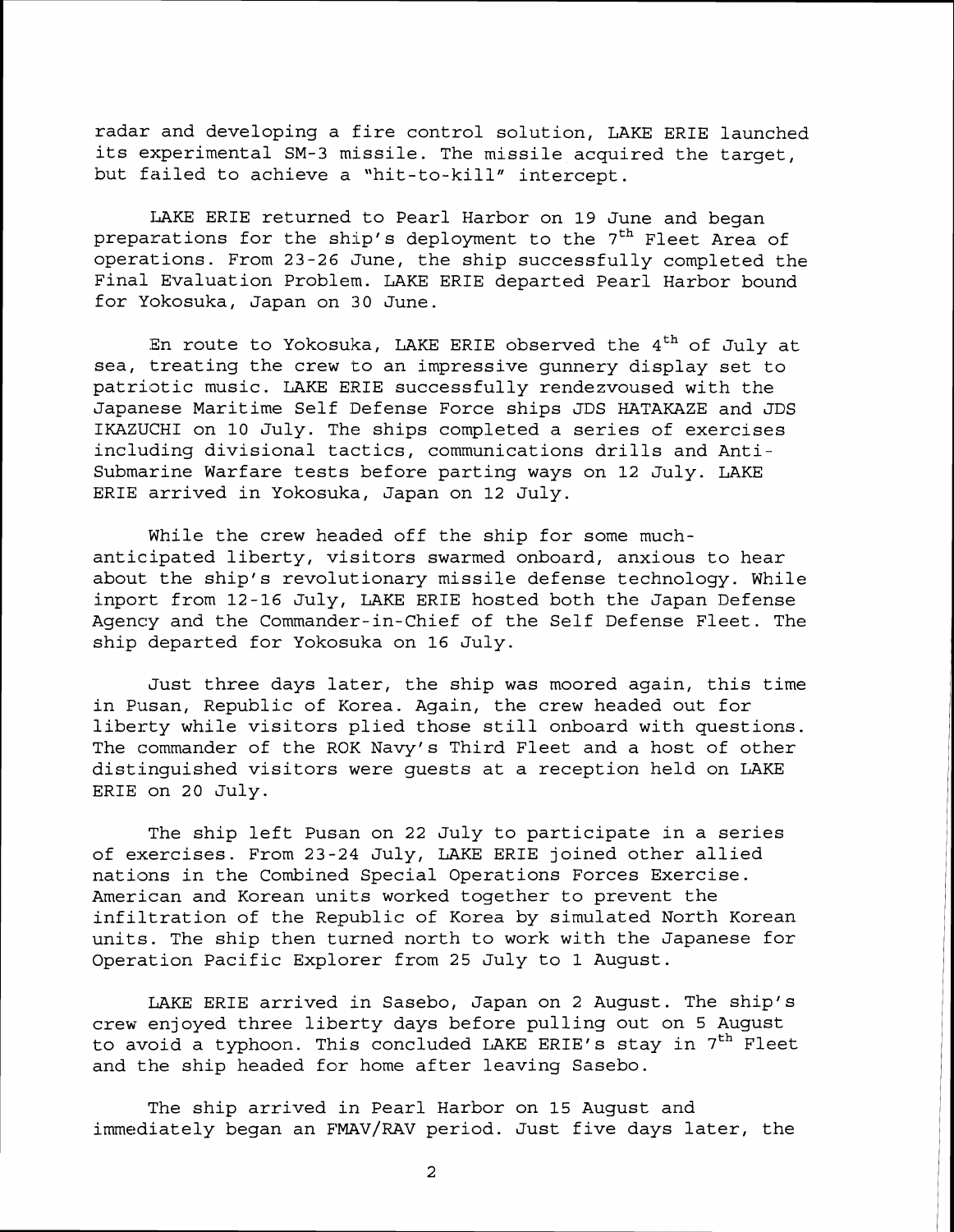radar and developing a fire control solution, LAKE ERIE launched its experimental SM-3 missile. The missile acquired the target, but failed to achieve a "hit-to-kill" intercept.

IAKE ERIE returned to Pearl Harbor on **19** June and began preparations for the ship's deployment to the 7<sup>th</sup> Fleet Area of operations. From **23-26** June, the ship successfully completed the Final Evaluation Problem. LAKE ERIE departed Pearl Harbor bound for Yokosuka, Japan on **30** June.

En route to Yokosuka, LAKE ERIE observed the  $4<sup>th</sup>$  of July at sea, treating the crew to an impressive gunnery display set to patriotic music. LAKE ERIE successfully rendezvoused with the Japanese Maritime Self Defense Force ships JDS HATAKAZE and JDS IKAZUCHI on **10** July. The ships completed a series of exercises including divisional tactics, communications drills and Antisubmarine Warfare tests before parting ways on 12 July. LAKE ERIE arrived in Yokosuka, Japan on **12** July.

While the crew headed off the ship for some muchanticipated liberty, visitors swarmed onboard, anxious to hear about the ship's revolutionary missile defense technology. While inport from **12-16** July, LAKE ERIE hosted both the Japan Defense Agency and the Commander-in-Chief of the Self Defense Fleet. The ship departed for Yokosuka on **16** July.

Just three days later, the ship was moored again, this time in Pusan, Republic of Korea. Again, the crew headed out for liberty while visitors plied those still onboard with questions. The commander of the ROK Navy's Third Fleet and a host of other distinguished visitors were guests at a reception held on LAKE ERIE on **20** July.

The ship left Pusan on 22 July to participate in a series of exercises. From 23-24 July, LAKE ERIE joined other allied nations in the Combined Special Operations Forces Exercise. American and Korean units worked together to prevent the infiltration of the Republic of Korea by simulated North Korean units. The ship then turned north to work with the Japanese for Operation Pacific Explorer from **25** July to **1** August.

LAKE ERIE arrived in Sasebo, Japan on 2 August. The ship's crew enjoyed three liberty days before pulling out on 5 August to avoid a typhoon. This concluded LAKE ERIE's stay in  $7<sup>th</sup>$  Fleet and the ship headed for home after leaving Sasebo.

The ship arrived in Pearl Harbor on **15** August and immediately began an FMAV/RAV period. Just five days later, the

2